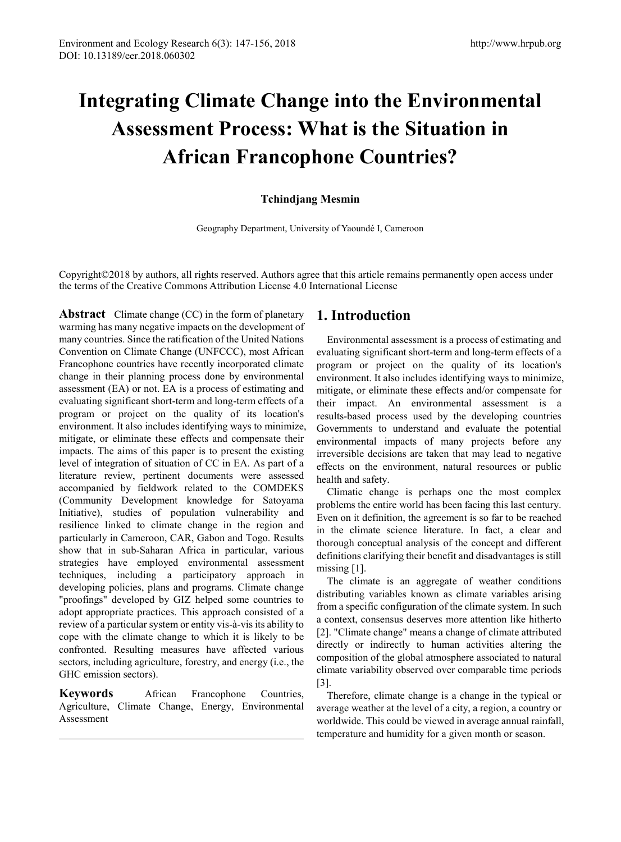# **Integrating Climate Change into the Environmental Assessment Process: What is the Situation in African Francophone Countries?**

## **Tchindjang Mesmin**

Geography Department, University of Yaoundé I, Cameroon

Copyright©2018 by authors, all rights reserved. Authors agree that this article remains permanently open access under the terms of the Creative Commons Attribution License 4.0 International License

**Abstract** Climate change (CC) in the form of planetary warming has many negative impacts on the development of many countries. Since the ratification of the United Nations Convention on Climate Change (UNFCCC), most African Francophone countries have recently incorporated climate change in their planning process done by environmental assessment (EA) or not. EA is a process of estimating and evaluating significant short-term and long-term effects of a program or project on the quality of its location's environment. It also includes identifying ways to minimize, mitigate, or eliminate these effects and compensate their impacts. The aims of this paper is to present the existing level of integration of situation of CC in EA. As part of a literature review, pertinent documents were assessed accompanied by fieldwork related to the COMDEKS (Community Development knowledge for Satoyama Initiative), studies of population vulnerability and resilience linked to climate change in the region and particularly in Cameroon, CAR, Gabon and Togo. Results show that in sub-Saharan Africa in particular, various strategies have employed environmental assessment techniques, including a participatory approach in developing policies, plans and programs. Climate change "proofings" developed by GIZ helped some countries to adopt appropriate practices. This approach consisted of a review of a particular system or entity vis-à-vis its ability to cope with the climate change to which it is likely to be confronted. Resulting measures have affected various sectors, including agriculture, forestry, and energy (i.e., the GHC emission sectors).

**Keywords** African Francophone Countries, Agriculture, Climate Change, Energy, Environmental Assessment

# **1. Introduction**

Environmental assessment is a process of estimating and evaluating significant short-term and long-term effects of a program or project on the quality of its location's environment. It also includes identifying ways to minimize, mitigate, or eliminate these effects and/or compensate for their impact. An environmental assessment is a results-based process used by the developing countries Governments to understand and evaluate the potential environmental impacts of many projects before any irreversible decisions are taken that may lead to negative effects on the environment, natural resources or public health and safety.

Climatic change is perhaps one the most complex problems the entire world has been facing this last century. Even on it definition, the agreement is so far to be reached in the climate science literature. In fact, a clear and thorough conceptual analysis of the concept and different definitions clarifying their benefit and disadvantages is still missing [1].

The climate is an aggregate of weather conditions distributing variables known as climate variables arising from a specific configuration of the climate system. In such a context, consensus deserves more attention like hitherto [2]. "Climate change" means a change of climate attributed directly or indirectly to human activities altering the composition of the global atmosphere associated to natural climate variability observed over comparable time periods [3].

Therefore, climate change is a change in the typical or average weather at the level of a city, a region, a country or worldwide. This could be viewed in average annual rainfall, temperature and humidity for a given month or season.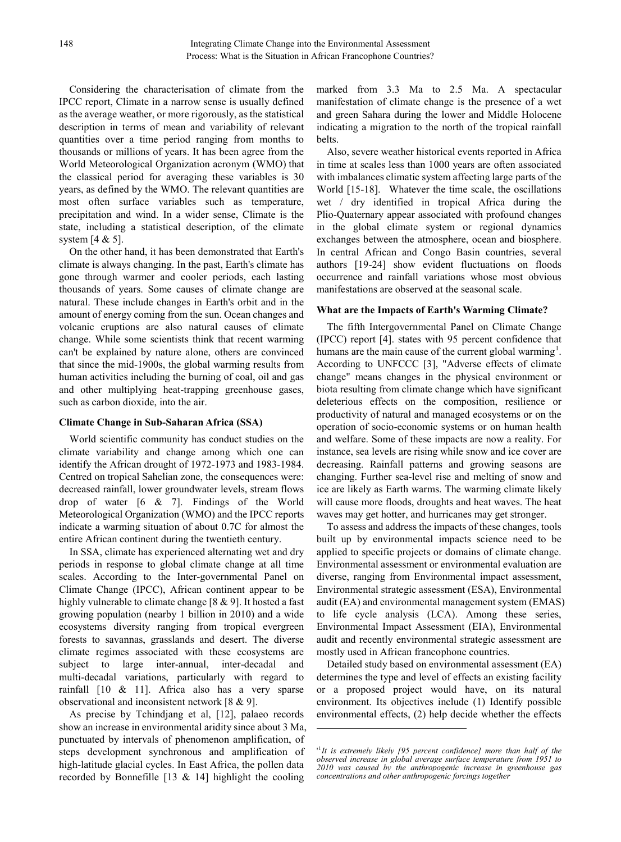Considering the characterisation of climate from the IPCC report, Climate in a narrow sense is usually defined as the average weather, or more rigorously, as the statistical description in terms of mean and variability of relevant quantities over a time period ranging from months to thousands or millions of years. It has been agree from the World Meteorological Organization acronym (WMO) that the classical period for averaging these variables is 30 years, as defined by the WMO. The relevant quantities are most often surface variables such as temperature, precipitation and wind. In a wider sense, Climate is the state, including a statistical description, of the climate system  $[4 \& 5]$ .

On the other hand, it has been demonstrated that Earth's climate is always changing. In the past, Earth's climate has gone through warmer and cooler periods, each lasting thousands of years. Some causes of climate change are natural. These include changes in Earth's orbit and in the amount of energy coming from the sun. Ocean changes and volcanic eruptions are also natural causes of climate change. While some scientists think that recent warming can't be explained by nature alone, others are convinced that since the mid-1900s, the global warming results from human activities including the burning of coal, oil and gas and other multiplying heat-trapping greenhouse gases, such as carbon dioxide, into the air.

#### **Climate Change in Sub-Saharan Africa (SSA)**

World scientific community has conduct studies on the climate variability and change among which one can identify the African drought of 1972-1973 and 1983-1984. Centred on tropical Sahelian zone, the consequences were: decreased rainfall, lower groundwater levels, stream flows drop of water [6 & 7]. Findings of the World Meteorological Organization (WMO) and the IPCC reports indicate a warming situation of about 0.7C for almost the entire African continent during the twentieth century.

In SSA, climate has experienced alternating wet and dry periods in response to global climate change at all time scales. According to the Inter-governmental Panel on Climate Change (IPCC), African continent appear to be highly vulnerable to climate change [8 & 9]. It hosted a fast growing population (nearby 1 billion in 2010) and a wide ecosystems diversity ranging from tropical evergreen forests to savannas, grasslands and desert. The diverse climate regimes associated with these ecosystems are subject to large inter-annual, inter-decadal and multi-decadal variations, particularly with regard to rainfall [10 & 11]. Africa also has a very sparse observational and inconsistent network [8 & 9].

<span id="page-1-0"></span>As precise by Tchindjang et al, [12], palaeo records show an increase in environmental aridity since about 3 Ma, punctuated by intervals of phenomenon amplification, of steps development synchronous and amplification of high-latitude glacial cycles. In East Africa, the pollen data recorded by Bonnefille  $[13 \& 14]$  highlight the cooling

marked from 3.3 Ma to 2.5 Ma. A spectacular manifestation of climate change is the presence of a wet and green Sahara during the lower and Middle Holocene indicating a migration to the north of the tropical rainfall belts.

Also, severe weather historical events reported in Africa in time at scales less than 1000 years are often associated with imbalances climatic system affecting large parts of the World [15-18]. Whatever the time scale, the oscillations wet / dry identified in tropical Africa during the Plio-Quaternary appear associated with profound changes in the global climate system or regional dynamics exchanges between the atmosphere, ocean and biosphere. In central African and Congo Basin countries, several authors [19-24] show evident fluctuations on floods occurrence and rainfall variations whose most obvious manifestations are observed at the seasonal scale.

#### **What are the Impacts of Earth's Warming Climate?**

The fifth Intergovernmental Panel on Climate Change (IPCC) report [4]. states with 95 percent confidence that humans are the main cause of the current global warming<sup>[1](#page-1-0)</sup>. According to UNFCCC [3], "Adverse effects of climate change" means changes in the physical environment or biota resulting from climate change which have significant deleterious effects on the composition, resilience or productivity of natural and managed ecosystems or on the operation of socio-economic systems or on human health and welfare. Some of these impacts are now a reality. For instance, sea levels are rising while snow and ice cover are decreasing. Rainfall patterns and growing seasons are changing. Further sea-level rise and melting of snow and ice are likely as Earth warms. The warming climate likely will cause more floods, droughts and heat waves. The heat waves may get hotter, and hurricanes may get stronger.

To assess and address the impacts of these changes, tools built up by environmental impacts science need to be applied to specific projects or domains of climate change. Environmental assessment or environmental evaluation are diverse, ranging from Environmental impact assessment, Environmental strategic assessment (ESA), Environmental audit (EA) and environmental management system (EMAS) to life cycle analysis (LCA). Among these series, Environmental Impact Assessment (EIA), Environmental audit and recently environmental strategic assessment are mostly used in African francophone countries.

Detailed study based on environmental assessment (EA) determines the type and level of effects an existing facility or a proposed project would have, on its natural environment. Its objectives include (1) Identify possible environmental effects, (2) help decide whether the effects

1

<sup>&</sup>lt;sup>1</sup>It is extremely likely [95 percent confidence] more than half of the *observed increase in global average surface temperature from 1951 to 2010 was caused by the anthropogenic increase in greenhouse gas concentrations and other anthropogenic forcings together*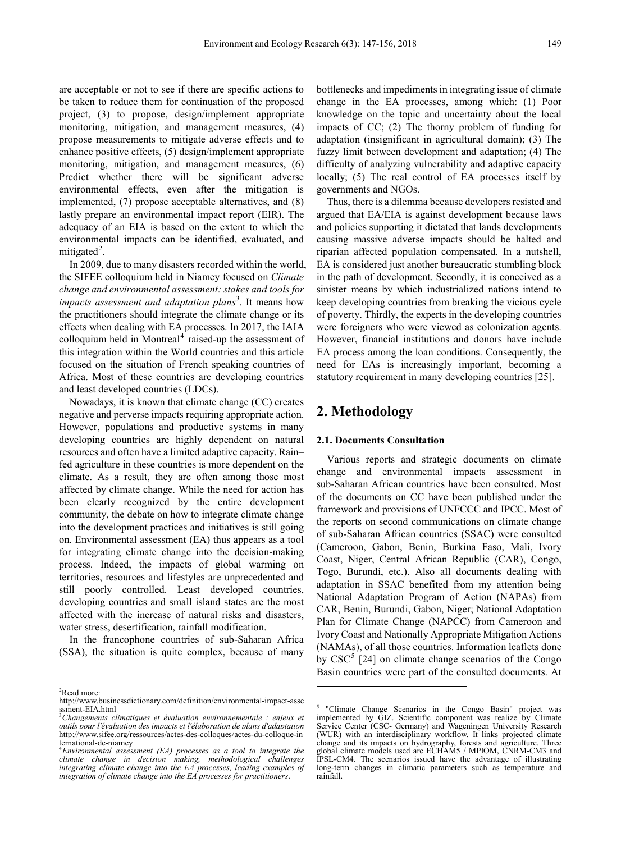are acceptable or not to see if there are specific actions to be taken to reduce them for continuation of the proposed project, (3) to propose, design/implement appropriate monitoring, mitigation, and management measures, (4) propose measurements to mitigate adverse effects and to enhance positive effects, (5) design/implement appropriate monitoring, mitigation, and management measures, (6) Predict whether there will be significant adverse environmental effects, even after the mitigation is implemented, (7) propose acceptable alternatives, and (8) lastly prepare an environmental impact report (EIR). The adequacy of an EIA is based on the extent to which the environmental impacts can be identified, evaluated, and mitigated<sup>[2](#page-2-0)</sup>.

In 2009, due to many disasters recorded within the world, the SIFEE colloquium held in Niamey focused on *Climate change and environmental assessment: stakes and tools for impacts assessment and adaptation plans*<sup>[3](#page-2-1)</sup>. It means how the practitioners should integrate the climate change or its effects when dealing with EA processes. In 2017, the IAIA colloquium held in Montreal $4$  raised-up the assessment of this integration within the World countries and this article focused on the situation of French speaking countries of Africa. Most of these countries are developing countries and least developed countries (LDCs).

Nowadays, it is known that climate change (CC) creates negative and perverse impacts requiring appropriate action. However, populations and productive systems in many developing countries are highly dependent on natural resources and often have a limited adaptive capacity. Rain– fed agriculture in these countries is more dependent on the climate. As a result, they are often among those most affected by climate change. While the need for action has been clearly recognized by the entire development community, the debate on how to integrate climate change into the development practices and initiatives is still going on. Environmental assessment (EA) thus appears as a tool for integrating climate change into the decision-making process. Indeed, the impacts of global warming on territories, resources and lifestyles are unprecedented and still poorly controlled. Least developed countries, developing countries and small island states are the most affected with the increase of natural risks and disasters, water stress, desertification, rainfall modification.

In the francophone countries of sub-Saharan Africa (SSA), the situation is quite complex, because of many

2 Read more:

-

bottlenecks and impediments in integrating issue of climate change in the EA processes, among which: (1) Poor knowledge on the topic and uncertainty about the local impacts of CC; (2) The thorny problem of funding for adaptation (insignificant in agricultural domain); (3) The fuzzy limit between development and adaptation; (4) The difficulty of analyzing vulnerability and adaptive capacity locally; (5) The real control of EA processes itself by governments and NGOs.

Thus, there is a dilemma because developers resisted and argued that EA/EIA is against development because laws and policies supporting it dictated that lands developments causing massive adverse impacts should be halted and riparian affected population compensated. In a nutshell, EA is considered just another bureaucratic stumbling block in the path of development. Secondly, it is conceived as a sinister means by which industrialized nations intend to keep developing countries from breaking the vicious cycle of poverty. Thirdly, the experts in the developing countries were foreigners who were viewed as colonization agents. However, financial institutions and donors have include EA process among the loan conditions. Consequently, the need for EAs is increasingly important, becoming a statutory requirement in many developing countries [25].

# **2. Methodology**

1

#### **2.1. Documents Consultation**

Various reports and strategic documents on climate change and environmental impacts assessment in sub-Saharan African countries have been consulted. Most of the documents on CC have been published under the framework and provisions of UNFCCC and IPCC. Most of the reports on second communications on climate change of sub-Saharan African countries (SSAC) were consulted (Cameroon, Gabon, Benin, Burkina Faso, Mali, Ivory Coast, Niger, Central African Republic (CAR), Congo, Togo, Burundi, etc.). Also all documents dealing with adaptation in SSAC benefited from my attention being National Adaptation Program of Action (NAPAs) from CAR, Benin, Burundi, Gabon, Niger; National Adaptation Plan for Climate Change (NAPCC) from Cameroon and Ivory Coast and Nationally Appropriate Mitigation Actions (NAMAs), of all those countries. Information leaflets done by CSC<sup>[5](#page-2-3)</sup> [24] on climate change scenarios of the Congo Basin countries were part of the consulted documents. At

<span id="page-2-3"></span><span id="page-2-0"></span>[http://www.businessdictionary.com/definition/environmental-impact-asse](http://www.businessdictionary.com/definition/environmental-impact-assessment-EIA.html) [ssment-EIA.html](http://www.businessdictionary.com/definition/environmental-impact-assessment-EIA.html)<br><sup>3</sup>Changements climatiques et évaluation environnementale : enjeux et

<span id="page-2-1"></span>*outils pour l'évaluation des impacts et l'élaboration de plans d'adaptation*  [http://www.sifee.org/ressources/actes-des-colloques/actes-du-colloque-in](http://www.sifee.org/ressources/actes-des-colloques/actes-du-colloque-international-de-niamey) [ternational-de-niamey](http://www.sifee.org/ressources/actes-des-colloques/actes-du-colloque-international-de-niamey) <sup>4</sup> *Environmental assessment (EA) processes as a tool to integrate the* 

<span id="page-2-2"></span>*climate change in decision making, methodological challenges integrating climate change into the EA processes, leading examples of integration of climate change into the EA processes for practitioners*.

<sup>&</sup>lt;sup>5</sup> "Climate Change Scenarios in the Congo Basin" project was implemented by GIZ. Scientific component was realize by Climate Service Center (CSC- Germany) and Wageningen University Research (WUR) with an interdisciplinary workflow. It links projected climate change and its impacts on hydrography, forests and agriculture. Three global climate models used are ECHAM5 / MPIOM, CNRM-CM3 and IPSL-CM4. The scenarios issued have the advantage of illustrating long-term changes in climatic parameters such as temperature and rainfall.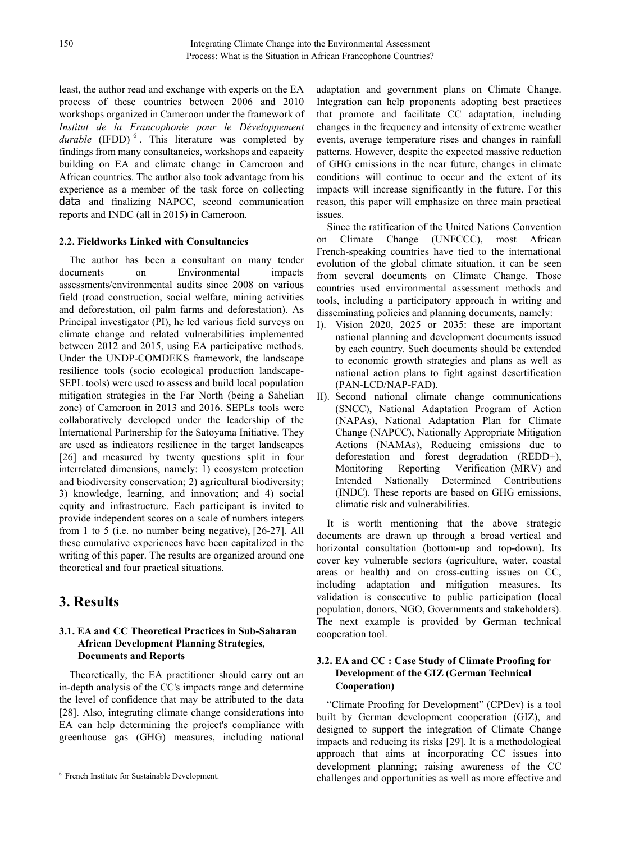least, the author read and exchange with experts on the EA process of these countries between 2006 and 2010 workshops organized in Cameroon under the framework of *Institut de la Francophonie pour le Développement*  durable (IFDD)<sup>[6](#page-3-0)</sup>. This literature was completed by findings from many consultancies, workshops and capacity building on EA and climate change in Cameroon and African countries. The author also took advantage from his experience as a member of the task force on collecting data and finalizing NAPCC, second communication reports and INDC (all in 2015) in Cameroon.

#### **2.2. Fieldworks Linked with Consultancies**

The author has been a consultant on many tender documents on Environmental impacts assessments/environmental audits since 2008 on various field (road construction, social welfare, mining activities and deforestation, oil palm farms and deforestation). As Principal investigator (PI), he led various field surveys on climate change and related vulnerabilities implemented between 2012 and 2015, using EA participative methods. Under the UNDP-COMDEKS framework, the landscape resilience tools (socio ecological production landscape-SEPL tools) were used to assess and build local population mitigation strategies in the Far North (being a Sahelian zone) of Cameroon in 2013 and 2016. SEPLs tools were collaboratively developed under the leadership of the International Partnership for the Satoyama Initiative. They are used as indicators resilience in the target landscapes [26] and measured by twenty questions split in four interrelated dimensions, namely: 1) ecosystem protection and biodiversity conservation; 2) agricultural biodiversity; 3) knowledge, learning, and innovation; and 4) social equity and infrastructure. Each participant is invited to provide independent scores on a scale of numbers integers from 1 to 5 (i.e. no number being negative), [26-27]. All these cumulative experiences have been capitalized in the writing of this paper. The results are organized around one theoretical and four practical situations.

# **3. Results**

-

## **3.1. EA and CC Theoretical Practices in Sub-Saharan African Development Planning Strategies, Documents and Reports**

Theoretically, the EA practitioner should carry out an in-depth analysis of the CC's impacts range and determine the level of confidence that may be attributed to the data [28]. Also, integrating climate change considerations into EA can help determining the project's compliance with greenhouse gas (GHG) measures, including national adaptation and government plans on Climate Change. Integration can help proponents adopting best practices that promote and facilitate CC adaptation, including changes in the frequency and intensity of extreme weather events, average temperature rises and changes in rainfall patterns. However, despite the expected massive reduction of GHG emissions in the near future, changes in climate conditions will continue to occur and the extent of its impacts will increase significantly in the future. For this reason, this paper will emphasize on three main practical issues.

Since the ratification of the United Nations Convention on Climate Change (UNFCCC), most African French-speaking countries have tied to the international evolution of the global climate situation, it can be seen from several documents on Climate Change. Those countries used environmental assessment methods and tools, including a participatory approach in writing and disseminating policies and planning documents, namely:

- I). Vision 2020, 2025 or 2035: these are important national planning and development documents issued by each country. Such documents should be extended to economic growth strategies and plans as well as national action plans to fight against desertification (PAN-LCD/NAP-FAD).
- II). Second national climate change communications (SNCC), National Adaptation Program of Action (NAPAs), National Adaptation Plan for Climate Change (NAPCC), Nationally Appropriate Mitigation Actions (NAMAs), Reducing emissions due to deforestation and forest degradation (REDD+), Monitoring – Reporting – Verification (MRV) and Intended Nationally Determined Contributions (INDC). These reports are based on GHG emissions, climatic risk and vulnerabilities.

It is worth mentioning that the above strategic documents are drawn up through a broad vertical and horizontal consultation (bottom-up and top-down). Its cover key vulnerable sectors (agriculture, water, coastal areas or health) and on cross-cutting issues on CC, including adaptation and mitigation measures. Its validation is consecutive to public participation (local population, donors, NGO, Governments and stakeholders). The next example is provided by German technical cooperation tool.

## **3.2. EA and CC : Case Study of Climate Proofing for Development of the GIZ (German Technical Cooperation)**

"Climate Proofing for Development" (CPDev) is a tool built by German development cooperation (GIZ), and designed to support the integration of Climate Change impacts and reducing its risks [29]. It is a methodological approach that aims at incorporating CC issues into development planning; raising awareness of the CC challenges and opportunities as well as more effective and

<span id="page-3-0"></span><sup>6</sup> French Institute for Sustainable Development.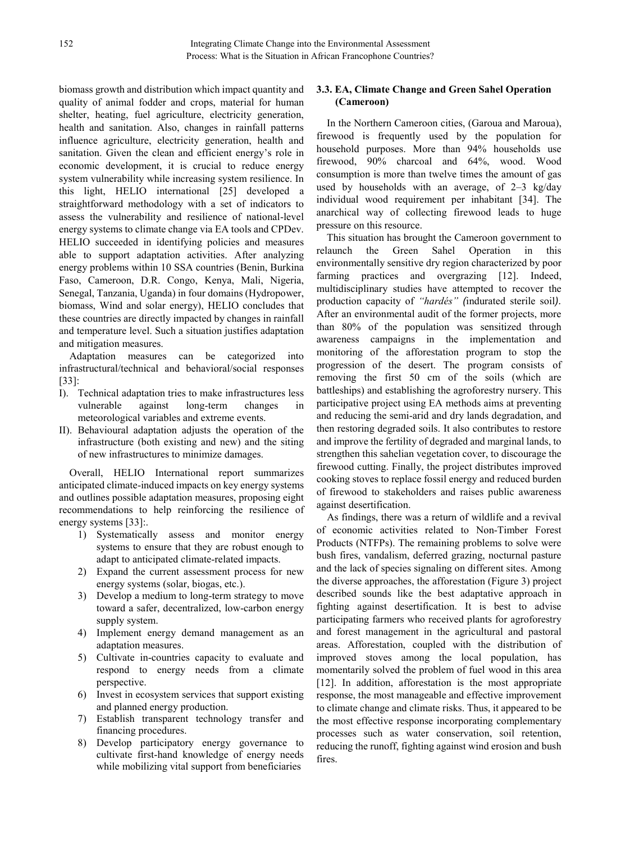are acceptable or not to see if there are specific actions to be taken to reduce them for continuation of the proposed project, (3) to propose, design/implement appropriate monitoring, mitigation, and management measures, (4) propose measurements to mitigate adverse effects and to enhance positive effects, (5) design/implement appropriate monitoring, mitigation, and management measures, (6) Predict whether there will be significant adverse environmental effects, even after the mitigation is implemented, (7) propose acceptable alternatives, and (8) lastly prepare an environmental impact report (EIR). The adequacy of an EIA is based on the extent to which the environmental impacts can be identified, evaluated, and mitigated<sup>2</sup>.

In 2009, due to many disasters recorded within the world, the SIFEE colloquium held in Niamey focused on

 $3$ . It means how the practitioners should integrate the climate change or its effects when dealing with EA processes. In 2017, the IAIA colloquium held in Montreal<sup>4</sup> raised-up the assessment of this integration within the World countries and this article focused on the situation of French speaking countries of Africa. Most of these countries are developing countries and least developed countries (LDCs).

Nowadays, it is known that climate change (CC) creates negative and perverse impacts requiring appropriate action. However, populations and productive systems in many developing countries are highly dependent on natural resources and often have a limited adaptive capacity. Rainfed agriculture in these countries is more dependent on the climate. As a result, they are often among those most affected by climate change. While the need for action has been clearly recognized by the entire development community, the debate on how to integrate climate change into the development practices and initiatives is still going on. Environmental assessment (EA) thus appears as a tool for integrating climate change into the decision-making process. Indeed, the impacts of global warming on territories, resources and lifestyles are unprecedented and still poorly controlled. Least developed countries, developing countries and small island states are the most affected with the increase of natural risks and disasters, water stress, desertification, rainfall modification.

In the francophone countries of sub-Saharan Africa (SSA), the situation is quite complex, because of many

<sup>2</sup>Read more http://www.businessdictionary.com/definition/environmental-impact-asse ssment-EIA.html

bottlenecks and impediments in integrating issue of climate change in the EA processes, among which: (1) Poor knowledge on the topic and uncertainty about the local impacts of  $CC$ ; (2) The thorny problem of funding for adaptation (insignificant in agricultural domain); (3) The fuzzy limit between development and adaptation; (4) The difficulty of analyzing vulnerability and adaptive capacity locally; (5) The real control of EA processes itself by governments and NGOs.

Thus, there is a dilemma because developers resisted and argued that EA/EIA is against development because laws and policies supporting it dictated that lands developments causing massive adverse impacts should be halted and riparian affected population compensated. In a nutshell, EA is considered just another bureaucratic stumbling block in the path of development. Secondly, it is conceived as a sinister means by which industrialized nations intend to keep developing countries from breaking the vicious cycle of poverty. Thirdly, the experts in the developing countries were foreigners who were viewed as colonization agents. However, financial institutions and donors have include EA process among the loan conditions. Consequently, the need for EAs is increasingly important, becoming a statutory requirement in many developing countries [25].

# 2. Methodology

#### **2.1. Documents Consultation**

Various reports and strategic documents on climate change and environmental impacts assessment in sub-Saharan African countries have been consulted. Most of the documents on CC have been published under the framework and provisions of UNFCCC and IPCC. Most of the reports on second communications on climate change of sub-Saharan African countries (SSAC) were consulted (Cameroon, Gabon, Benin, Burkina Faso, Mali, Ivory Coast, Niger, Central African Republic (CAR), Congo, Togo, Burundi, etc.). Also all documents dealing with adaptation in SSAC benefited from my attention being National Adaptation Program of Action (NAPAs) from CAR, Benin, Burundi, Gabon, Niger; National Adaptation Plan for Climate Change (NAPCC) from Cameroon and Ivory Coast and Nationally Appropriate Mitigation Actions (NAMAs), of all those countries. Information leaflets done by CSC<sup>5</sup> [24] on climate change scenarios of the Congo Basin countries were part of the consulted documents. At

http://www.sifee.org/ressources/actes-des-colloques/actes-du-colloque-in ternational-de-niamey

<sup>&</sup>lt;sup>5</sup> "Climate Change Scenarios in the Congo Basin" project was implemented by GIZ. Scientific component was realize by Climate<br>Service Center (CSC- Germany) and Wageningen University Research (WUR) with an interdisciplinary workflow. It links projected climate change and its impacts on hydrography, forests and agriculture. Three<br>global climate models used are ECHAM5 / MPIOM, CNRM-CM3 and IPSL-CM4. The scenarios issued have the advantage of illustrating long-term changes in climatic parameters such as temperature and rainfall.